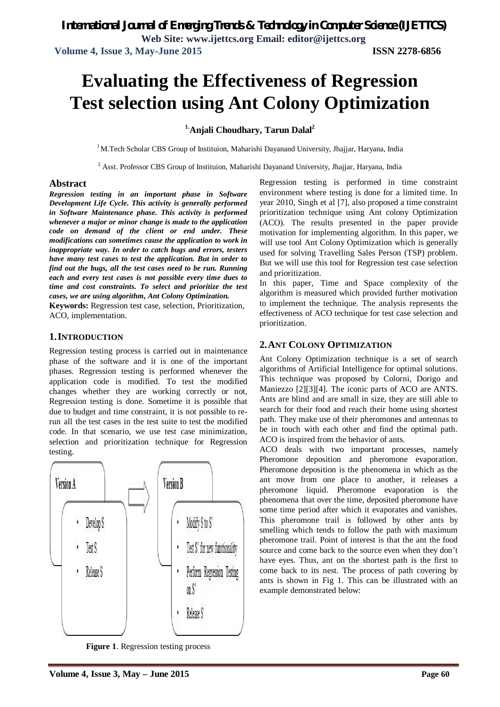**Volume 4, Issue 3, May-June 2015 ISSN 2278-6856**

# **Evaluating the Effectiveness of Regression Test selection using Ant Colony Optimization**

### **1.Anjali Choudhary, Tarun Dalal<sup>2</sup>**

 $1<sup>1</sup>$ M.Tech Scholar CBS Group of Instituion, Maharishi Dayanand University, Jhajjar, Haryana, India

<sup>2</sup> Asst. Professor CBS Group of Instituion, Maharishi Dayanand University, Jhajjar, Haryana, India

#### **Abstract**

*Regression testing in an important phase in Software Development Life Cycle. This activity is generally performed in Software Maintenance phase. This activity is performed whenever a major or minor change is made to the application code on demand of the client or end under. These modifications can sometimes cause the application to work in inappropriate way. In order to catch bugs and errors, testers have many test cases to test the application. But in order to find out the bugs, all the test cases need to be run. Running each and every test cases is not possible every time dues to time and cost constraints. To select and prioritize the test cases, we are using algorithm, Ant Colony Optimization.*

**Keywords:** Regression test case, selection, Prioritization, ACO, implementation.

#### **1.INTRODUCTION**

Regression testing process is carried out in maintenance phase of the software and it is one of the important phases. Regression testing is performed whenever the application code is modified. To test the modified changes whether they are working correctly or not, Regression testing is done. Sometime it is possible that due to budget and time constraint, it is not possible to rerun all the test cases in the test suite to test the modified code. In that scenario, we use test case minimization, selection and prioritization technique for Regression testing.



**Figure 1**. Regression testing process

Regression testing is performed in time constraint environment where testing is done for a limited time. In year 2010, Singh et al [7], also proposed a time constraint prioritization technique using Ant colony Optimization (ACO). The results presented in the paper provide motivation for implementing algorithm. In this paper, we will use tool Ant Colony Optimization which is generally used for solving Travelling Sales Person (TSP) problem. But we will use this tool for Regression test case selection and prioritization.

In this paper, Time and Space complexity of the algorithm is measured which provided further motivation to implement the technique. The analysis represents the effectiveness of ACO technique for test case selection and prioritization.

# **2.ANT COLONY OPTIMIZATION**

Ant Colony Optimization technique is a set of search algorithms of Artificial Intelligence for optimal solutions. This technique was proposed by Colorni, Dorigo and Maniezzo [2][3][4]. The iconic parts of ACO are ANTS. Ants are blind and are small in size, they are still able to search for their food and reach their home using shortest path. They make use of their pheromones and antennas to be in touch with each other and find the optimal path. ACO is inspired from the behavior of ants.

ACO deals with two important processes, namely Pheromone deposition and pheromone evaporation. Pheromone deposition is the phenomena in which as the ant move from one place to another, it releases a pheromone liquid. Pheromone evaporation is the phenomena that over the time, deposited pheromone have some time period after which it evaporates and vanishes. This pheromone trail is followed by other ants by smelling which tends to follow the path with maximum pheromone trail. Point of interest is that the ant the food source and come back to the source even when they don't have eyes. Thus, ant on the shortest path is the first to come back to its nest. The process of path covering by ants is shown in Fig 1. This can be illustrated with an example demonstrated below: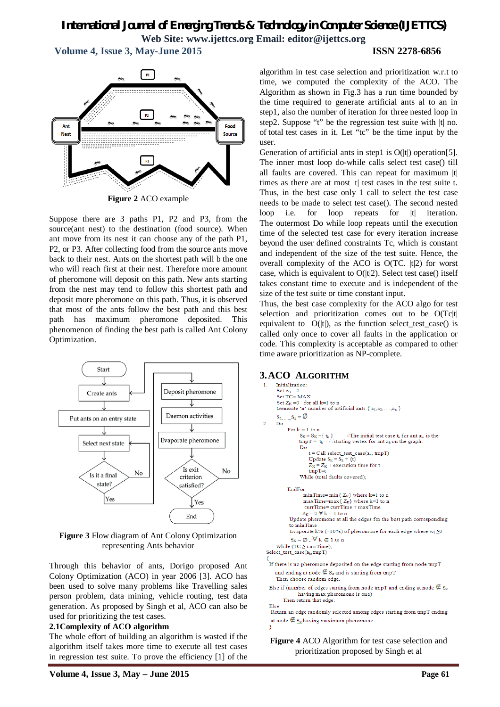**Volume 4, Issue 3, May-June 2015 ISSN 2278-6856**



**Figure 2** ACO example

Suppose there are 3 paths P1, P2 and P3, from the source(ant nest) to the destination (food source). When ant move from its nest it can choose any of the path P1, P2, or P3. After collecting food from the source ants move back to their nest. Ants on the shortest path will b the one who will reach first at their nest. Therefore more amount of pheromone will deposit on this path. New ants starting from the nest may tend to follow this shortest path and deposit more pheromone on this path. Thus, it is observed that most of the ants follow the best path and this best path has maximum pheromone deposited. This phenomenon of finding the best path is called Ant Colony Optimization.



**Figure 3** Flow diagram of Ant Colony Optimization representing Ants behavior

Through this behavior of ants, Dorigo proposed Ant Colony Optimization (ACO) in year 2006 [3]. ACO has been used to solve many problems like Travelling sales person problem, data mining, vehicle routing, test data generation. As proposed by Singh et al, ACO can also be used for prioritizing the test cases.

#### **2.1Complexity of ACO algorithm**

The whole effort of building an algorithm is wasted if the algorithm itself takes more time to execute all test cases in regression test suite. To prove the efficiency [1] of the

algorithm in test case selection and prioritization w.r.t to time, we computed the complexity of the ACO. The Algorithm as shown in Fig.3 has a run time bounded by the time required to generate artificial ants al to an in step1, also the number of iteration for three nested loop in step2. Suppose "t" be the regression test suite with |t| no. of total test cases in it. Let "tc" be the time input by the user.

Generation of artificial ants in step1 is  $O(|t|)$  operation[5]. The inner most loop do-while calls select test case() till all faults are covered. This can repeat for maximum |t| times as there are at most |t| test cases in the test suite t. Thus, in the best case only 1 call to select the test case needs to be made to select test case(). The second nested loop i.e. for loop repeats for |t| iteration. The outermost Do while loop repeats until the execution time of the selected test case for every iteration increase beyond the user defined constraints Tc, which is constant and independent of the size of the test suite. Hence, the overall complexity of the ACO is O(TC. |t|2) for worst case, which is equivalent to  $O(|t|2)$ . Select test case() itself takes constant time to execute and is independent of the size of the test suite or time constant input.

Thus, the best case complexity for the ACO algo for test selection and prioritization comes out to be O(Tc|t| equivalent to  $O(|t|)$ , as the function select\_test\_case() is called only once to cover all faults in the application or code. This complexity is acceptable as compared to other time aware prioritization as NP-complete.

# **3.ACO ALGORITHM**

```
1 -Set w_i = 0Set TC = MAXSet Z_K = 0 for all k=1 to n<br>Generate 'n' number of artificial ants { a_1, a_2, ..., a_n }
      \mathbf{S}_1,...., \mathbf{S}_n = \emptyset\sigma\overline{D} \overline{O}For k = 1 to nS_K = S_K + \{t_k\} //The initial test case t_k for ant a_k<br>tmpT = t_k //starting vertex for ant a_k on the graph.
                                            //The initial test case \mathbf{t}_\mathbf{k} for ant \mathbf{a}_\mathbf{k} is the
                  Dot = Call select_test\_case(a_k, tmpT)Update S_k = S_k + \{\bar{t}\}Z_K = Z_K + execution time for t
                       tmpT = tWhile (total faults covered);
            EndFor
                     minTime = min\{ Z_K \} where k=1 to n
                     maxTime=max {Z_K} where k=1 to n
                     currTime = currTime + maxTimeZ_K = 0 \nabla k = 1 to n<br>Update pheromone at all the edges for the best path corresponding
             to minTime
             Evaporate k% (=10%) of pheromone for each edge where w_i \ge 0S_K = \emptyset, \forall k \in 1 to n
     While (TC \geq \text{currTime});
Select_test\_case(a_k,tmpT)If there is no pheromone deposited on the edge starting from node tmpT
     and ending at node \mathfrak{E}_{S_k} and is starting from tmpT
     Then choose random edge.
  Else if (number of edges starting from node tmpT and ending at node \mathfrak{E} \mathbf{S}_{\mathbf{k}}having max pheromone is one)
         Then return that edge.
  Else
   Return an edge randomly selected among edges starting from tmpT ending
   at node \mathcal{\not\equiv} \mathbb{S}_{\mathbb{k}} having maximum pheromone.
```
**Figure 4** ACO Algorithm for test case selection and

prioritization proposed by Singh et al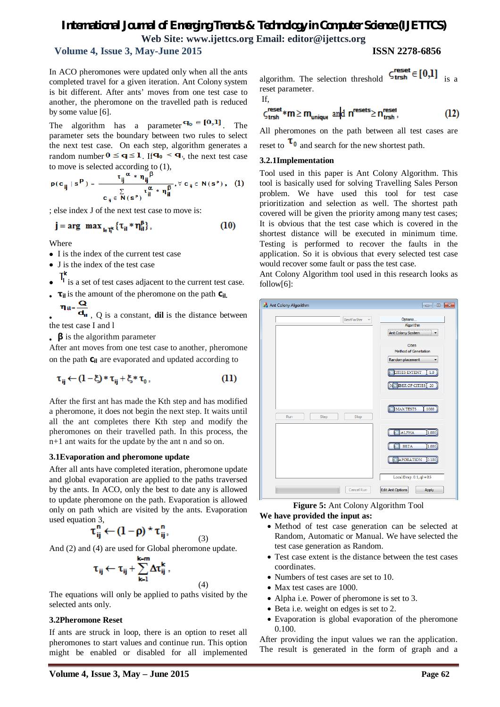# **Volume 4, Issue 3, May-June 2015 ISSN 2278-6856**

 $\overline{a}$ 

In ACO pheromones were updated only when all the ants completed travel for a given iteration. Ant Colony system is bit different. After ants' moves from one test case to another, the pheromone on the travelled path is reduced by some value [6].

The algorithm has a parameter  $\mathbf{q}_0 \in [0,1]$ . The parameter sets the boundary between two rules to select the next test case. On each step, algorithm generates a random number  $0 \leq q \leq 1$ . If  $q_0 \leq q$ , the next test case to move is selected according to (1),

$$
p(c_{ij} \mid s^p) = \frac{\tau_{ij} \alpha * \eta_{ij} \beta}{c_{ij} \in N(s^p)} \tau_{il} \alpha * \eta_{il} \beta, \forall c_{ij} \in N(s^p), \quad (1)
$$

; else index J of the next test case to move is:

$$
\mathbf{j} = \arg \max_{\mathbf{k} \in \mathbb{T}^k} \{ \tau_{\mathbf{i} \mathbf{i}} * \eta_{\mathbf{i} \mathbf{i}}^{\mathbf{B}} \},\tag{10}
$$

Where

- I is the index of the current test case
- J is the index of the test case
- 
- $\mathsf{T}^{\mathsf{k}}_1$  is a set of test cases adjacent to the current test case. **τ**<sub>il</sub> is the amount of the pheromone on the path  $C_{\text{il}}$ . Q
- $\eta_{\rm{il}}$  , Q is a constant, **dil** is the distance between the test case I and l
- **β** is the algorithm parameter

After ant moves from one test case to another, pheromone on the path  $C_i$  are evaporated and updated according to

$$
\tau_{ij} \leftarrow (1 - \xi) * \tau_{ij} + \xi * \tau_0, \tag{11}
$$

After the first ant has made the Kth step and has modified a pheromone, it does not begin the next step. It waits until all the ant completes there Kth step and modify the pheromones on their travelled path. In this process, the n+1 ant waits for the update by the ant n and so on.

#### **3.1Evaporation and pheromone update**

After all ants have completed iteration, pheromone update and global evaporation are applied to the paths traversed by the ants. In ACO, only the best to date any is allowed to update pheromone on the path. Evaporation is allowed only on path which are visited by the ants. Evaporation used equation 3,

$$
\tau^n_{ij} \leftarrow (1-\rho) \star \tau^n_{ij},
$$

(3)

(4)

And (2) and (4) are used for Global pheromone update.

$$
\tau_{ij} \leftarrow \tau_{ij} + \sum_{k=1}^{k=m} \Delta \tau_{ij}^k ,
$$

The equations will only be applied to paths visited by the selected ants only.

#### **3.2Pheromone Reset**

If ants are struck in loop, there is an option to reset all pheromones to start values and continue run. This option might be enabled or disabled for all implemented

algorithm. The selection threshold 
$$
\zeta_{\text{trsh}}^{\text{reset}} \in [0,1]
$$
 is a reset parameter.

If,

$$
\zeta_{\text{trsh}}^{\text{reset}} * m \ge m_{\text{unique}} \text{ and } n^{\text{resets}} \ge n_{\text{trsh}}^{\text{reset}},\tag{12}
$$

All pheromones on the path between all test cases are reset to  $\tau_0$  and search for the new shortest path.

#### **3.2.1Implementation**

Tool used in this paper is Ant Colony Algorithm. This tool is basically used for solving Travelling Sales Person problem. We have used this tool for test case prioritization and selection as well. The shortest path covered will be given the priority among many test cases; It is obvious that the test case which is covered in the shortest distance will be executed in minimum time. Testing is performed to recover the faults in the application. So it is obvious that every selected test case would recover some fault or pass the test case.

Ant Colony Algorithm tool used in this research looks as follow[6]:



# **Figure 5:** Ant Colony Algorithm Tool

#### **We have provided the input as:**

- Method of test case generation can be selected at Random, Automatic or Manual. We have selected the test case generation as Random.
- Test case extent is the distance between the test cases coordinates.
- Numbers of test cases are set to 10.
- Max test cases are 1000.
- Alpha i.e. Power of pheromone is set to 3.
- Beta i.e. weight on edges is set to 2.
- Evaporation is global evaporation of the pheromone 0.100.

After providing the input values we ran the application. The result is generated in the form of graph and a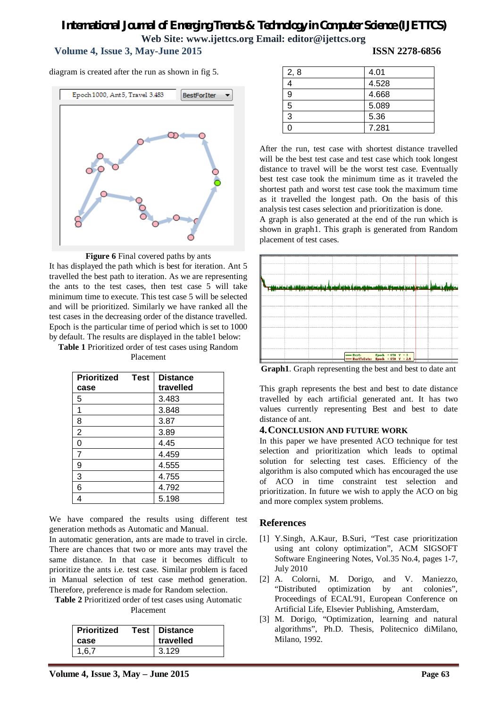# **Volume 4, Issue 3, May-June 2015 ISSN 2278-6856**

diagram is created after the run as shown in fig 5.





It has displayed the path which is best for iteration. Ant 5 travelled the best path to iteration. As we are representing the ants to the test cases, then test case 5 will take minimum time to execute. This test case 5 will be selected and will be prioritized. Similarly we have ranked all the test cases in the decreasing order of the distance travelled. Epoch is the particular time of period which is set to 1000 by default. The results are displayed in the table1 below:

**Table 1** Prioritized order of test cases using Random Placement

| <b>Prioritized</b><br><b>Test</b> | <b>Distance</b> |
|-----------------------------------|-----------------|
| case                              | travelled       |
| 5                                 | 3.483           |
| 1                                 | 3.848           |
| 8                                 | 3.87            |
| $\overline{2}$                    | 3.89            |
| 0                                 | 4.45            |
| 7                                 | 4.459           |
| 9                                 | 4.555           |
| 3                                 | 4.755           |
| 6                                 | 4.792           |
|                                   | 5.198           |

We have compared the results using different test generation methods as Automatic and Manual.

In automatic generation, ants are made to travel in circle. There are chances that two or more ants may travel the same distance. In that case it becomes difficult to prioritize the ants i.e. test case. Similar problem is faced in Manual selection of test case method generation. Therefore, preference is made for Random selection.

**Table 2** Prioritized order of test cases using Automatic

Placement

|                | Test   Distance<br>travelled |
|----------------|------------------------------|
| case           |                              |
| 3.129<br>1.6.7 |                              |

| 2, 8 | 4.01  |
|------|-------|
|      | 4.528 |
| 9    | 4.668 |
| 5    | 5.089 |
| 3    | 5.36  |
|      | 7.281 |

After the run, test case with shortest distance travelled will be the best test case and test case which took longest distance to travel will be the worst test case. Eventually best test case took the minimum time as it traveled the shortest path and worst test case took the maximum time as it travelled the longest path. On the basis of this analysis test cases selection and prioritization is done.

A graph is also generated at the end of the run which is shown in graph1. This graph is generated from Random placement of test cases.



**Graph1**. Graph representing the best and best to date ant

This graph represents the best and best to date distance travelled by each artificial generated ant. It has two values currently representing Best and best to date distance of ant.

#### **4.CONCLUSION AND FUTURE WORK**

In this paper we have presented ACO technique for test selection and prioritization which leads to optimal solution for selecting test cases. Efficiency of the algorithm is also computed which has encouraged the use of ACO in time constraint test selection and prioritization. In future we wish to apply the ACO on big and more complex system problems.

### **References**

- [1] Y.Singh, A.Kaur, B.Suri, "Test case prioritization using ant colony optimization", ACM SIGSOFT Software Engineering Notes, Vol.35 No.4, pages 1-7, July 2010
- [2] A. Colorni, M. Dorigo, and V. Maniezzo, "Distributed optimization by ant colonies", Proceedings of ECAL'91, European Conference on Artificial Life, Elsevier Publishing, Amsterdam,
- [3] M. Dorigo, "Optimization, learning and natural algorithms", Ph.D. Thesis, Politecnico diMilano, Milano, 1992.